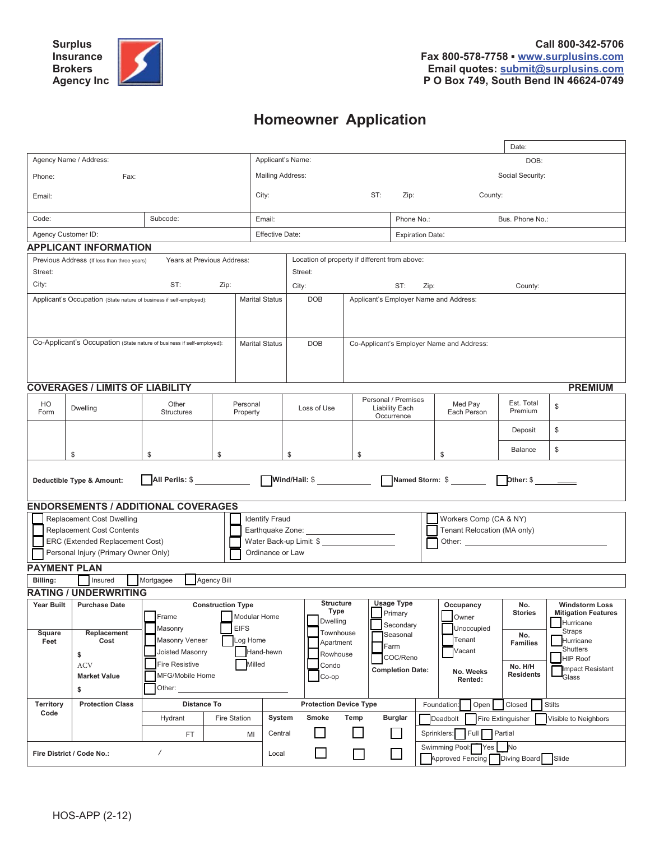# **Homeowner Application**

|                                                                                                                                                 |                                                               |                                                                                                                           |                                                                |                         |                                                                                                                                                                                                                                                                                                                                                                                                               |                                                                                                                                                                     |                                                                                      |                                                                        | Date:                                                                   |                                                                                                                                           |  |
|-------------------------------------------------------------------------------------------------------------------------------------------------|---------------------------------------------------------------|---------------------------------------------------------------------------------------------------------------------------|----------------------------------------------------------------|-------------------------|---------------------------------------------------------------------------------------------------------------------------------------------------------------------------------------------------------------------------------------------------------------------------------------------------------------------------------------------------------------------------------------------------------------|---------------------------------------------------------------------------------------------------------------------------------------------------------------------|--------------------------------------------------------------------------------------|------------------------------------------------------------------------|-------------------------------------------------------------------------|-------------------------------------------------------------------------------------------------------------------------------------------|--|
| Agency Name / Address:                                                                                                                          |                                                               |                                                                                                                           |                                                                |                         | Applicant's Name:                                                                                                                                                                                                                                                                                                                                                                                             |                                                                                                                                                                     |                                                                                      |                                                                        |                                                                         | DOB:                                                                                                                                      |  |
| Phone:<br>Fax:                                                                                                                                  |                                                               |                                                                                                                           |                                                                | <b>Mailing Address:</b> |                                                                                                                                                                                                                                                                                                                                                                                                               |                                                                                                                                                                     |                                                                                      |                                                                        | Social Security:                                                        |                                                                                                                                           |  |
| Email:                                                                                                                                          |                                                               |                                                                                                                           |                                                                | City:                   | ST:<br>Zip:<br>County:                                                                                                                                                                                                                                                                                                                                                                                        |                                                                                                                                                                     |                                                                                      |                                                                        |                                                                         |                                                                                                                                           |  |
| Code:                                                                                                                                           |                                                               | Subcode:                                                                                                                  |                                                                | Email:                  |                                                                                                                                                                                                                                                                                                                                                                                                               |                                                                                                                                                                     | Phone No.:                                                                           |                                                                        | Bus. Phone No.:                                                         |                                                                                                                                           |  |
| Agency Customer ID:                                                                                                                             |                                                               |                                                                                                                           |                                                                | <b>Effective Date:</b>  |                                                                                                                                                                                                                                                                                                                                                                                                               |                                                                                                                                                                     |                                                                                      | <b>Expiration Date:</b>                                                |                                                                         |                                                                                                                                           |  |
|                                                                                                                                                 | <b>APPLICANT INFORMATION</b>                                  |                                                                                                                           |                                                                |                         |                                                                                                                                                                                                                                                                                                                                                                                                               |                                                                                                                                                                     |                                                                                      |                                                                        |                                                                         |                                                                                                                                           |  |
| Years at Previous Address:<br>Location of property if different from above:<br>Previous Address (If less than three years)                      |                                                               |                                                                                                                           |                                                                |                         |                                                                                                                                                                                                                                                                                                                                                                                                               |                                                                                                                                                                     |                                                                                      |                                                                        |                                                                         |                                                                                                                                           |  |
| Street:                                                                                                                                         |                                                               |                                                                                                                           |                                                                | Street:                 |                                                                                                                                                                                                                                                                                                                                                                                                               |                                                                                                                                                                     |                                                                                      |                                                                        |                                                                         |                                                                                                                                           |  |
| City:                                                                                                                                           |                                                               | ST:                                                                                                                       | Zip:                                                           |                         | City:<br>ST:<br>Zip:                                                                                                                                                                                                                                                                                                                                                                                          |                                                                                                                                                                     |                                                                                      |                                                                        | County:                                                                 |                                                                                                                                           |  |
| <b>Marital Status</b><br>Applicant's Occupation (State nature of business if self-employed):                                                    |                                                               |                                                                                                                           |                                                                |                         | <b>DOB</b>                                                                                                                                                                                                                                                                                                                                                                                                    | Applicant's Employer Name and Address:                                                                                                                              |                                                                                      |                                                                        |                                                                         |                                                                                                                                           |  |
| Co-Applicant's Occupation (State nature of business if self-employed):<br><b>Marital Status</b>                                                 |                                                               |                                                                                                                           |                                                                |                         | <b>DOB</b>                                                                                                                                                                                                                                                                                                                                                                                                    |                                                                                                                                                                     |                                                                                      | Co-Applicant's Employer Name and Address:                              |                                                                         |                                                                                                                                           |  |
|                                                                                                                                                 | <b>COVERAGES / LIMITS OF LIABILITY</b>                        |                                                                                                                           |                                                                |                         |                                                                                                                                                                                                                                                                                                                                                                                                               |                                                                                                                                                                     |                                                                                      |                                                                        |                                                                         | <b>PREMIUM</b>                                                                                                                            |  |
| HO<br>Form                                                                                                                                      | Other<br>Dwelling<br><b>Structures</b>                        |                                                                                                                           | Personal<br>Property                                           | Loss of Use             |                                                                                                                                                                                                                                                                                                                                                                                                               |                                                                                                                                                                     | Personal / Premises<br>Med Pay<br><b>Liability Each</b><br>Each Person<br>Occurrence |                                                                        | Est. Total<br>Premium                                                   | \$                                                                                                                                        |  |
|                                                                                                                                                 |                                                               |                                                                                                                           |                                                                |                         |                                                                                                                                                                                                                                                                                                                                                                                                               |                                                                                                                                                                     |                                                                                      |                                                                        | Deposit                                                                 | \$                                                                                                                                        |  |
|                                                                                                                                                 | \$                                                            | \$                                                                                                                        | \$                                                             |                         | \$                                                                                                                                                                                                                                                                                                                                                                                                            | \$                                                                                                                                                                  |                                                                                      | \$                                                                     | <b>Balance</b>                                                          | \$                                                                                                                                        |  |
| Other: \$<br>Deductible Type & Amount:                                                                                                          |                                                               |                                                                                                                           |                                                                |                         |                                                                                                                                                                                                                                                                                                                                                                                                               |                                                                                                                                                                     |                                                                                      |                                                                        |                                                                         |                                                                                                                                           |  |
|                                                                                                                                                 | <b>ENDORSEMENTS / ADDITIONAL COVERAGES</b>                    |                                                                                                                           |                                                                |                         |                                                                                                                                                                                                                                                                                                                                                                                                               |                                                                                                                                                                     |                                                                                      |                                                                        |                                                                         |                                                                                                                                           |  |
| <b>Replacement Cost Dwelling</b><br><b>Replacement Cost Contents</b><br>ERC (Extended Replacement Cost)<br>Personal Injury (Primary Owner Only) |                                                               |                                                                                                                           |                                                                |                         | Workers Comp (CA & NY)<br><b>Identify Fraud</b><br>Tenant Relocation (MA only)<br>Earthquake Zone: _________________________<br>Water Back-up Limit: \$<br>Other: The contract of the contract of the contract of the contract of the contract of the contract of the contract of the contract of the contract of the contract of the contract of the contract of the contract of the con<br>Ordinance or Law |                                                                                                                                                                     |                                                                                      |                                                                        |                                                                         |                                                                                                                                           |  |
| <b>PAYMENT PLAN</b>                                                                                                                             | Insured                                                       |                                                                                                                           | <b>Agency Bill</b>                                             |                         |                                                                                                                                                                                                                                                                                                                                                                                                               |                                                                                                                                                                     |                                                                                      |                                                                        |                                                                         |                                                                                                                                           |  |
| Billing:                                                                                                                                        | <b>RATING / UNDERWRITING</b>                                  | Mortgagee                                                                                                                 |                                                                |                         |                                                                                                                                                                                                                                                                                                                                                                                                               |                                                                                                                                                                     |                                                                                      |                                                                        |                                                                         |                                                                                                                                           |  |
| <b>Year Built</b>                                                                                                                               | <b>Purchase Date</b>                                          |                                                                                                                           | <b>Construction Type</b>                                       |                         | <b>Structure</b>                                                                                                                                                                                                                                                                                                                                                                                              |                                                                                                                                                                     | <b>Usage Type</b>                                                                    | Occupancy                                                              | No.                                                                     | <b>Windstorm Loss</b>                                                                                                                     |  |
| Square<br>Feet                                                                                                                                  | Replacement<br>Cost<br>\$<br>ACV<br><b>Market Value</b><br>\$ | $\Box$ Frame<br>Masonry<br><b>Masonry Veneer</b><br>Joisted Masonry<br><b>Fire Resistive</b><br>MFG/Mobile Home<br>Other: | Modular Home<br><b>EIFS</b><br>Log Home<br>Hand-hewn<br>Milled |                         |                                                                                                                                                                                                                                                                                                                                                                                                               | Type<br>$\vert$ Primary<br>Dwelling<br>Secondary<br>Townhouse<br>Seasonal<br>Apartment<br>Farm<br>Rowhouse<br>COC/Reno<br>Condo<br><b>Completion Date:</b><br>Co-op |                                                                                      | $\Box$ Owner<br>Unoccupied<br>Tenant<br>Vacant<br>No. Weeks<br>Rented: | <b>Stories</b><br>No.<br><b>Families</b><br>No. H/H<br><b>Residents</b> | <u>Mi</u> tigation Features<br>Hurricane<br>Straps<br>Hurricane<br>Shutters<br><b>HIP Roof</b><br><b>Impact Resistant</b><br><b>Glass</b> |  |
| <b>Distance To</b><br><b>Territory</b><br><b>Protection Class</b>                                                                               |                                                               |                                                                                                                           | <b>Protection Device Type</b><br>Closed<br>Foundation:<br>Open |                         |                                                                                                                                                                                                                                                                                                                                                                                                               |                                                                                                                                                                     |                                                                                      | <b>Stilts</b>                                                          |                                                                         |                                                                                                                                           |  |
| Code                                                                                                                                            |                                                               | Hydrant                                                                                                                   | Fire Station                                                   | System                  | Smoke                                                                                                                                                                                                                                                                                                                                                                                                         | Temp                                                                                                                                                                | <b>Burglar</b>                                                                       | Deadbolt                                                               | Fire Extinguisher                                                       | Visible to Neighbors                                                                                                                      |  |
|                                                                                                                                                 |                                                               | FT.                                                                                                                       | MI                                                             | Central                 |                                                                                                                                                                                                                                                                                                                                                                                                               |                                                                                                                                                                     |                                                                                      | Sprinklers:<br>Full                                                    | Partial                                                                 |                                                                                                                                           |  |
| Fire District / Code No.:<br>$\overline{1}$                                                                                                     |                                                               |                                                                                                                           |                                                                | Local                   |                                                                                                                                                                                                                                                                                                                                                                                                               | $\Box$                                                                                                                                                              | ⊔                                                                                    | Swimming Pool: Yes<br>Approved Fencing Diving Board Slide              | No.                                                                     |                                                                                                                                           |  |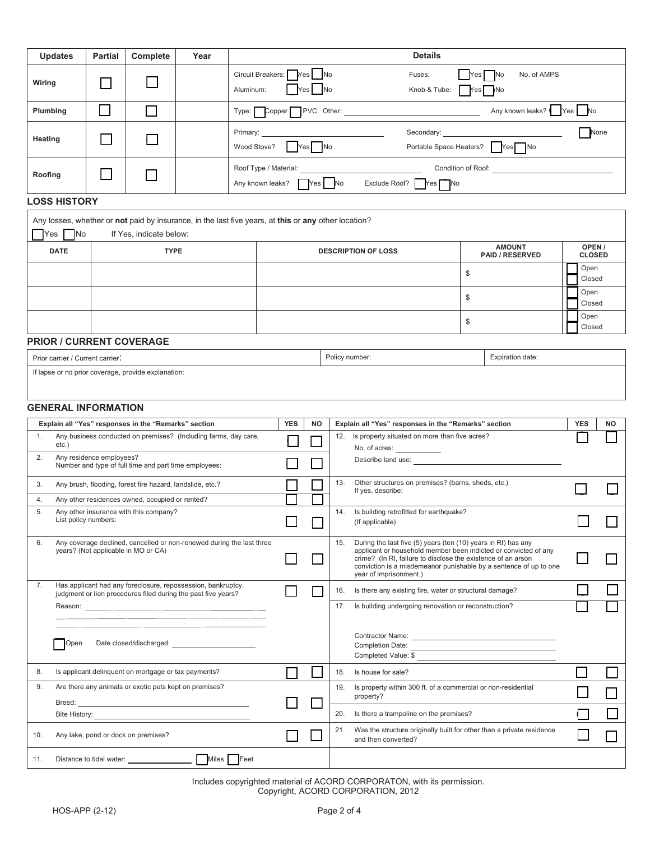| <b>Updates</b>                                                                                                                                                                                                                       | <b>Partial</b>                                       | Complete                                             | Year                                                            | <b>Details</b>                                       |                                        |                                                                                              |                                                                         |                                                                                                                                                                                                                                                                                                 |                                         |                |                         |  |
|--------------------------------------------------------------------------------------------------------------------------------------------------------------------------------------------------------------------------------------|------------------------------------------------------|------------------------------------------------------|-----------------------------------------------------------------|------------------------------------------------------|----------------------------------------|----------------------------------------------------------------------------------------------|-------------------------------------------------------------------------|-------------------------------------------------------------------------------------------------------------------------------------------------------------------------------------------------------------------------------------------------------------------------------------------------|-----------------------------------------|----------------|-------------------------|--|
| Wiring                                                                                                                                                                                                                               |                                                      |                                                      |                                                                 | Circuit Breakers:                                    |                                        | Yes I INo<br>No                                                                              |                                                                         | Fuses:                                                                                                                                                                                                                                                                                          | Yes<br>No. of AMPS<br>No                |                |                         |  |
|                                                                                                                                                                                                                                      |                                                      |                                                      |                                                                 | Aluminum:                                            | Yes                                    |                                                                                              |                                                                         | Knob & Tube:                                                                                                                                                                                                                                                                                    | - No<br>Yes                             |                |                         |  |
| Plumbing                                                                                                                                                                                                                             |                                                      | $\sim$                                               |                                                                 |                                                      |                                        |                                                                                              |                                                                         | Type: Copper PVC Other:                                                                                                                                                                                                                                                                         | Any known leaks?   Yes   No             |                |                         |  |
| Heating                                                                                                                                                                                                                              |                                                      |                                                      |                                                                 | Primary:<br>Wood Stove?                              |                                        | Yes   No                                                                                     |                                                                         | Secondary:                                                                                                                                                                                                                                                                                      |                                         |                | None                    |  |
| Roofing                                                                                                                                                                                                                              |                                                      |                                                      |                                                                 |                                                      | Any known leaks? Yes No                |                                                                                              |                                                                         | Roof Type / Material: North and the state of the state of the state of the state of the state of the state of the state of the state of the state of the state of the state of the state of the state of the state of the stat<br>Exclude Roof?<br>Yes ∏ No                                     |                                         |                |                         |  |
| <b>LOSS HISTORY</b>                                                                                                                                                                                                                  |                                                      |                                                      |                                                                 |                                                      |                                        |                                                                                              |                                                                         |                                                                                                                                                                                                                                                                                                 |                                         |                |                         |  |
| Any losses, whether or not paid by insurance, in the last five years, at this or any other location?                                                                                                                                 |                                                      |                                                      |                                                                 |                                                      |                                        |                                                                                              |                                                                         |                                                                                                                                                                                                                                                                                                 |                                         |                |                         |  |
| <b>No</b><br>Yes                                                                                                                                                                                                                     |                                                      | If Yes, indicate below:                              |                                                                 |                                                      |                                        |                                                                                              |                                                                         |                                                                                                                                                                                                                                                                                                 |                                         |                |                         |  |
| <b>DATE</b>                                                                                                                                                                                                                          |                                                      | <b>TYPE</b>                                          |                                                                 |                                                      |                                        |                                                                                              |                                                                         | <b>DESCRIPTION OF LOSS</b>                                                                                                                                                                                                                                                                      | <b>AMOUNT</b><br><b>PAID / RESERVED</b> |                | OPEN /<br><b>CLOSED</b> |  |
|                                                                                                                                                                                                                                      |                                                      |                                                      |                                                                 |                                                      |                                        |                                                                                              |                                                                         |                                                                                                                                                                                                                                                                                                 | \$                                      | Open<br>Closed |                         |  |
|                                                                                                                                                                                                                                      |                                                      |                                                      |                                                                 |                                                      |                                        |                                                                                              |                                                                         |                                                                                                                                                                                                                                                                                                 | \$                                      | Open<br>Closed |                         |  |
|                                                                                                                                                                                                                                      |                                                      |                                                      |                                                                 |                                                      |                                        |                                                                                              |                                                                         |                                                                                                                                                                                                                                                                                                 | Open<br>Closed                          |                |                         |  |
| <b>PRIOR / CURRENT COVERAGE</b>                                                                                                                                                                                                      |                                                      |                                                      |                                                                 |                                                      |                                        |                                                                                              |                                                                         |                                                                                                                                                                                                                                                                                                 |                                         |                |                         |  |
| Prior carrier / Current carrier:                                                                                                                                                                                                     |                                                      |                                                      |                                                                 |                                                      |                                        |                                                                                              |                                                                         | Policy number:                                                                                                                                                                                                                                                                                  | Expiration date:                        |                |                         |  |
| If lapse or no prior coverage, provide explanation:                                                                                                                                                                                  |                                                      |                                                      |                                                                 |                                                      |                                        |                                                                                              |                                                                         |                                                                                                                                                                                                                                                                                                 |                                         |                |                         |  |
| <b>GENERAL INFORMATION</b>                                                                                                                                                                                                           |                                                      |                                                      |                                                                 |                                                      |                                        |                                                                                              |                                                                         |                                                                                                                                                                                                                                                                                                 |                                         |                |                         |  |
|                                                                                                                                                                                                                                      |                                                      | Explain all "Yes" responses in the "Remarks" section |                                                                 |                                                      | <b>YES</b>                             | <b>NO</b>                                                                                    |                                                                         | Explain all "Yes" responses in the "Remarks" section                                                                                                                                                                                                                                            |                                         | <b>YES</b>     | ΝO                      |  |
| 1.<br>etc.)                                                                                                                                                                                                                          |                                                      |                                                      | Any business conducted on premises? (Including farms, day care, | Is property situated on more than five acres?<br>12. |                                        |                                                                                              |                                                                         |                                                                                                                                                                                                                                                                                                 |                                         |                |                         |  |
| No. of acres: ____________<br>Any residence employees?<br>2.<br>Describe land use: _____________<br>Number and type of full time and part time employees:                                                                            |                                                      |                                                      |                                                                 |                                                      |                                        |                                                                                              |                                                                         |                                                                                                                                                                                                                                                                                                 |                                         |                |                         |  |
| 3.<br>Any brush, flooding, forest fire hazard, landslide, etc.?                                                                                                                                                                      |                                                      |                                                      |                                                                 |                                                      |                                        | 13.                                                                                          | Other structures on premises? (barns, sheds, etc.)<br>If yes, describe: |                                                                                                                                                                                                                                                                                                 |                                         |                |                         |  |
| 4.<br>Any other residences owned, occupied or rented?                                                                                                                                                                                |                                                      |                                                      |                                                                 |                                                      |                                        |                                                                                              |                                                                         |                                                                                                                                                                                                                                                                                                 |                                         |                |                         |  |
| Any other insurance with this company?<br>5.<br>List policy numbers:                                                                                                                                                                 |                                                      |                                                      |                                                                 |                                                      | ⊔                                      | 14.                                                                                          | Is building retrofitted for earthquake?<br>(If applicable)              |                                                                                                                                                                                                                                                                                                 |                                         |                |                         |  |
| 6.<br>Any coverage declined, cancelled or non-renewed during the last three<br>years? (Not applicable in MO or CA)                                                                                                                   |                                                      |                                                      |                                                                 |                                                      |                                        |                                                                                              | 15.                                                                     | During the last five (5) years (ten (10) years in RI) has any<br>applicant or household member been indicted or convicted of any<br>crime? (In RI, failure to disclose the existence of an arson<br>conviction is a misdemeanor punishable by a sentence of up to one<br>year of imprisonment.) |                                         |                |                         |  |
| Has applicant had any foreclosure, repossession, bankruptcy,<br>7.<br>judgment or lien procedures filed during the past five years?                                                                                                  |                                                      |                                                      |                                                                 |                                                      | 16.                                    |                                                                                              | Is there any existing fire, water or structural damage?                 |                                                                                                                                                                                                                                                                                                 |                                         |                |                         |  |
|                                                                                                                                                                                                                                      |                                                      |                                                      |                                                                 |                                                      |                                        | 17.                                                                                          | Is building undergoing renovation or reconstruction?                    |                                                                                                                                                                                                                                                                                                 |                                         |                |                         |  |
| Contractor Name: <u>Contractor Name</u><br>Open<br>Completed Value: \$                                                                                                                                                               |                                                      |                                                      |                                                                 |                                                      |                                        |                                                                                              |                                                                         |                                                                                                                                                                                                                                                                                                 |                                         |                |                         |  |
| 8.                                                                                                                                                                                                                                   | Is applicant delinquent on mortgage or tax payments? |                                                      |                                                                 |                                                      |                                        | 18.                                                                                          | Is house for sale?                                                      |                                                                                                                                                                                                                                                                                                 |                                         |                |                         |  |
| 9.<br>Are there any animals or exotic pets kept on premises?                                                                                                                                                                         |                                                      |                                                      |                                                                 |                                                      | 19.                                    | Is property within 300 ft. of a commercial or non-residential<br>property?                   |                                                                         |                                                                                                                                                                                                                                                                                                 |                                         |                |                         |  |
| Bite History: <u>example and the set of the set of the set of the set of the set of the set of the set of the set of the set of the set of the set of the set of the set of the set of the set of the set of the set of the set </u> |                                                      |                                                      |                                                                 | 20.                                                  | Is there a trampoline on the premises? |                                                                                              |                                                                         |                                                                                                                                                                                                                                                                                                 |                                         |                |                         |  |
| 10.                                                                                                                                                                                                                                  | Any lake, pond or dock on premises?                  |                                                      |                                                                 |                                                      | 21.                                    | Was the structure originally built for other than a private residence<br>and then converted? |                                                                         |                                                                                                                                                                                                                                                                                                 |                                         |                |                         |  |
| 11.                                                                                                                                                                                                                                  |                                                      |                                                      |                                                                 |                                                      |                                        |                                                                                              |                                                                         |                                                                                                                                                                                                                                                                                                 |                                         |                |                         |  |

Includes copyrighted material of ACORD CORPORATON, with its permission. Copyright, ACORD CORPORATION, 2012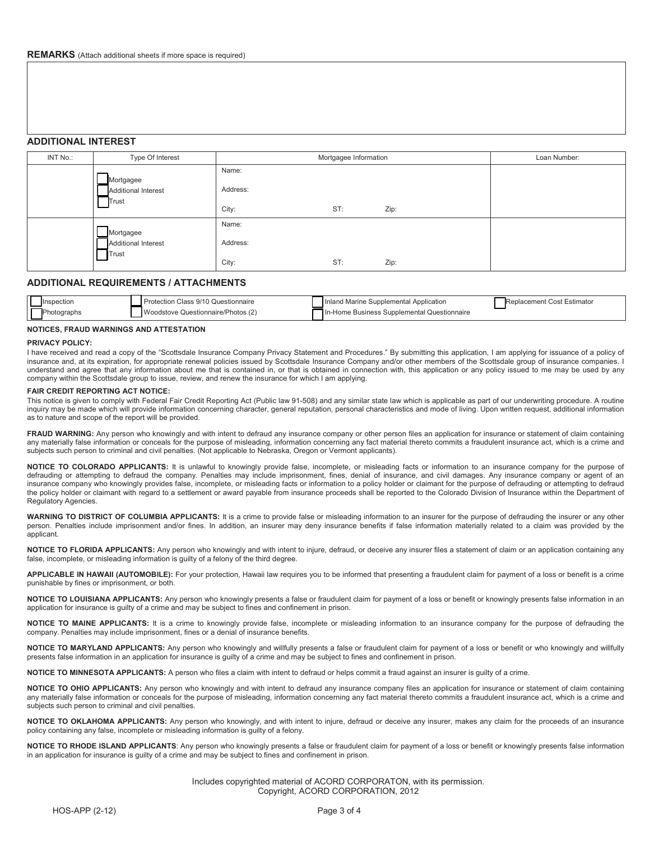# **ADDITIONAL INTEREST**

| INT No.: | Type Of Interest                                 | Mortgagee Information      | Loan Number: |      |  |
|----------|--------------------------------------------------|----------------------------|--------------|------|--|
|          | Mortgagee<br><b>Additional Interest</b><br>Trust | Name:<br>Address:<br>City: | ST:          | Zip: |  |
|          | Mortgagee<br><b>Additional Interest</b><br>Trust | Name:<br>Address:<br>City: | ST:          | Zip: |  |

# **ADDITIONAL REQUIREMENTS / ATTACHMENTS**

| Inspection  | Protection Class 9/10 Questionnaire | Inland Marine Supplemental Application      | Replacement Cost Estimator |
|-------------|-------------------------------------|---------------------------------------------|----------------------------|
| Photographs | Woodstove Questionnaire/Photos (2)  | In-Home Business Supplemental Questionnaire |                            |

## **NOTICES, FRAUD WARNINGS AND ATTESTATION**

## **PRIVACY POLICY:**

I have received and read a copy of the "Scottsdale Insurance Company Privacy Statement and Procedures." By submitting this application, I am applying for issuance of a policy of insurance and, at its expiration, for appropriate renewal policies issued by Scottsdale Insurance Company and/or other members of the Scottsdale group of insurance companies. I understand and agree that any information about me that is contained in, or that is obtained in connection with, this application or any policy issued to me may be used by any company within the Scottsdale group to issue, review, and renew the insurance for which I am applying.

## **FAIR CREDIT REPORTING ACT NOTICE:**

This notice is given to comply with Federal Fair Credit Reporting Act (Public law 91-508) and any similar state law which is applicable as part of our underwriting procedure. A routine inquiry may be made which will provide information concerning character, general reputation, personal characteristics and mode of living. Upon written request, additional information as to nature and scope of the report will be provided.

FRAUD WARNING: Any person who knowingly and with intent to defraud any insurance company or other person files an application for insurance or statement of claim containing any materially false information or conceals for the purpose of misleading, information concerning any fact material thereto commits a fraudulent insurance act, which is a crime and subjects such person to criminal and civil penalties. (Not applicable to Nebraska, Oregon or Vermont applicants).

**NOTICE TO COLORADO APPLICANTS:** It is unlawful to knowingly provide false, incomplete, or misleading facts or information to an insurance company for the purpose of defrauding or attempting to defraud the company. Penalties may include imprisonment, fines, denial of insurance, and civil damages. Any insurance company or agent of an insurance company who knowingly provides false, incomplete, or misleading facts or information to a policy holder or claimant for the purpose of defrauding or attempting to defraud the policy holder or claimant with regard to a settlement or award payable from insurance proceeds shall be reported to the Colorado Division of Insurance within the Department of Regulatory Agencies.

WARNING TO DISTRICT OF COLUMBIA APPLICANTS: It is a crime to provide false or misleading information to an insurer for the purpose of defrauding the insurer or any other person. Penalties include imprisonment and/or fines. In addition, an insurer may deny insurance benefits if false information materially related to a claim was provided by the applicant.

NOTICE TO FLORIDA APPLICANTS: Any person who knowingly and with intent to injure, defraud, or deceive any insurer files a statement of claim or an application containing any false, incomplete, or misleading information is guilty of a felony of the third degree.

**APPLICABLE IN HAWAII (AUTOMOBILE):** For your protection, Hawaii law requires you to be informed that presenting a fraudulent claim for payment of a loss or benefit is a crime punishable by fines or imprisonment, or both.

**NOTICE TO LOUISIANA APPLICANTS:** Any person who knowingly presents a false or fraudulent claim for payment of a loss or benefit or knowingly presents false information in an application for insurance is guilty of a crime and may be subject to fines and confinement in prison.

NOTICE TO MAINE APPLICANTS: It is a crime to knowingly provide false, incomplete or misleading information to an insurance company for the purpose of defrauding the company. Penalties may include imprisonment, fines or a denial of insurance benefits.

**NOTICE TO MARYLAND APPLICANTS:** Any person who knowingly and willfully presents a false or fraudulent claim for payment of a loss or benefit or who knowingly and willfully presents false information in an application for insurance is guilty of a crime and may be subject to fines and confinement in prison.

**NOTICE TO MINNESOTA APPLICANTS:** A person who files a claim with intent to defraud or helps commit a fraud against an insurer is guilty of a crime.

**NOTICE TO OHIO APPLICANTS:** Any person who knowingly and with intent to defraud any insurance company files an application for insurance or statement of claim containing any materially false information or conceals for the purpose of misleading, information concerning any fact material thereto commits a fraudulent insurance act, which is a crime and subjects such person to criminal and civil penalties.

**NOTICE TO OKLAHOMA APPLICANTS:** Any person who knowingly, and with intent to injure, defraud or deceive any insurer, makes any claim for the proceeds of an insurance policy containing any false, incomplete or misleading information is guilty of a felony.

**NOTICE TO RHODE ISLAND APPLICANTS**: Any person who knowingly presents a false or fraudulent claim for payment of a loss or benefit or knowingly presents false information in an application for insurance is guilty of a crime and may be subject to fines and confinement in prison.

> Includes copyrighted material of ACORD CORPORATON, with its permission. Copyright, ACORD CORPORATION, 2012